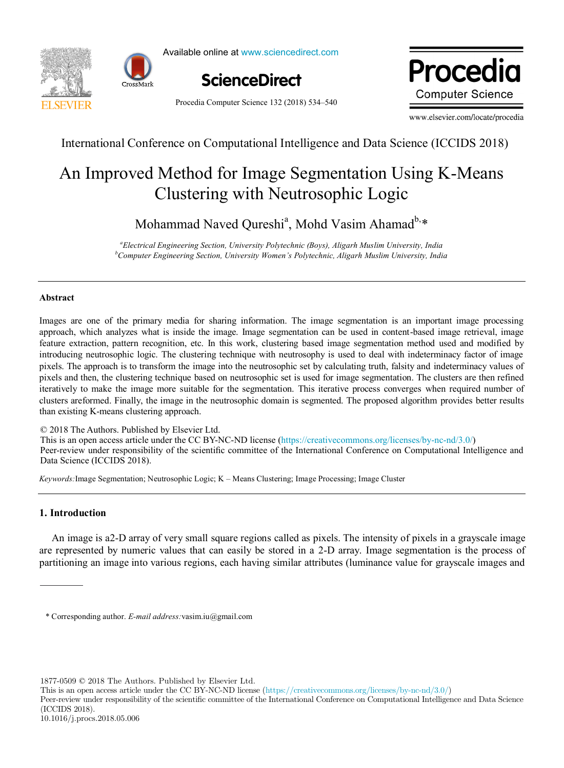



Available online at www.sciencedirect.com<br>.



Procedia Computer Science 132 (2018) 534–540

ww.elsevie **Computer Science** 

www.elsevier.com/locate/procedia

International Conference on Computational Intelligence and Data Science (ICCIDS 2018) International Conference on Computational Intelligence and Data Science (ICCIDS 2018)

# An Improved Method for Image Segmentation Using K-Means An Improved Method for Image Segmentation Using K-Means Clustering with Neutrosophic Logic Clustering with Neutrosophic Logic

Mohammad Naved Qureshi<sup>a</sup>, Mohd Vasim Ahamad<sup>b,</sup>\*

*a Electrical Engineering Section, University Polytechnic (Boys), Aligarh Muslim University, India a Electrical Engineering Section, University Polytechnic (Boys), Aligarh Muslim University, India b Computer Engineering Section, University Women's Polytechnic, Aligarh Muslim University, India b Computer Engineering Section, University Women's Polytechnic, Aligarh Muslim University, India*

# **Abstract Abstract**

Images are one of the primary media for sharing information. The image segmentation is an important image processing approach, which analyzes what is inside the image. Image segmentation can be used in content-based image retrieval, image feature extraction, pattern recognition, etc. In this work, clustering based image segmentation method used and modified by introducing neutrosophic logic. The clustering technique with neutrosophy is used to deal with indeterminacy factor of image pixels. The approach is to transform the image into the neutrosophic set by calculating truth, falsity and indeterminacy values of pixels and then, the clustering technique based on neutrosophic set is used for image segmentation. The clusters are then refined iteratively to make the image more suitable for the segmentation. This iterative process converges when required number of clusters areformed. Finally, the image in the neutrosophic domain is segmented. The proposed algorithm provides better results than existing K-means clustering approach. than existing K-means clustering approach.

© 2018 The Authors. Published by Elsevier Ltd.

 $\degree$  2018 The Authors. Published by Elsevier Eta.<br>This is an open access article under the CC BY-NC-ND license (https://creativecommons.org/licenses/by-nc-nd/3.0/) Peer-review under responsibility of the scientific committee of the International Conference on Computational Intelligence and Peer-review under responsibility of the scientific committee of the International Conference on Data Science (ICCIDS 2018). Data Science (ICCIDS 2018). Data Science (ICCIDS 2018).

*Keywords:*Image Segmentation; Neutrosophic Logic; K – Means Clustering; Image Processing; Image Cluster *Keywords:*Image Segmentation; Neutrosophic Logic; K – Means Clustering; Image Processing; Image Cluster

# **1. Introduction 1. Introduction**

An image is a2-D array of very small square regions called as pixels. The intensity of pixels in a grayscale image are represented by numeric values that can easily be stored in a 2-D array. Image segmentation is the process of partitioning an image into various regions, each having similar attributes (luminance value for grayscale images and

1877-0509 © 2018 The Authors. Published by Elsevier Ltd.

This is an open access article under the CC BY-NC-ND license (https://creativecommons.org/licenses/by-nc-nd/3.0/)

Peer-review under responsibility of the scientific committee of the International Conference on Computational Intelligence and Data Science (ICCIDS 2018).

<sup>\*</sup> Corresponding author. *E-mail address:*vasim.iu@gmail.com \* Corresponding author. *E-mail address:*vasim.iu@gmail.com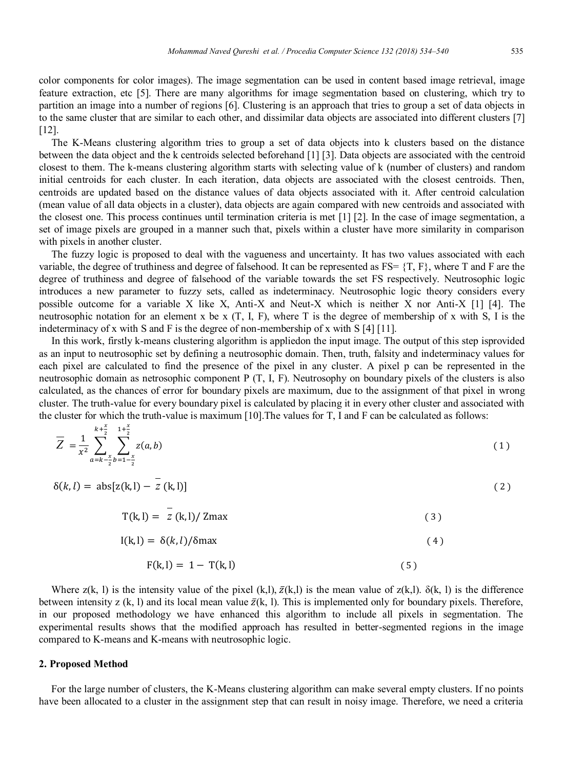color components for color images). The image segmentation can be used in content based image retrieval, image feature extraction, etc [5]. There are many algorithms for image segmentation based on clustering, which try to partition an image into a number of regions [6]. Clustering is an approach that tries to group a set of data objects in to the same cluster that are similar to each other, and dissimilar data objects are associated into different clusters [7] [12].

The K-Means clustering algorithm tries to group a set of data objects into k clusters based on the distance between the data object and the k centroids selected beforehand [1] [3]. Data objects are associated with the centroid closest to them. The k-means clustering algorithm starts with selecting value of k (number of clusters) and random initial centroids for each cluster. In each iteration, data objects are associated with the closest centroids. Then, centroids are updated based on the distance values of data objects associated with it. After centroid calculation (mean value of all data objects in a cluster), data objects are again compared with new centroids and associated with the closest one. This process continues until termination criteria is met [1] [2]. In the case of image segmentation, a set of image pixels are grouped in a manner such that, pixels within a cluster have more similarity in comparison with pixels in another cluster.

The fuzzy logic is proposed to deal with the vagueness and uncertainty. It has two values associated with each variable, the degree of truthiness and degree of falsehood. It can be represented as FS= {T, F}, where T and F are the degree of truthiness and degree of falsehood of the variable towards the set FS respectively. Neutrosophic logic introduces a new parameter to fuzzy sets, called as indeterminacy. Neutrosophic logic theory considers every possible outcome for a variable X like X, Anti-X and Neut-X which is neither X nor Anti-X [1] [4]. The neutrosophic notation for an element x be x  $(T, I, F)$ , where T is the degree of membership of x with S, I is the indeterminacy of x with S and F is the degree of non-membership of x with S [4] [11].

In this work, firstly k-means clustering algorithm is appliedon the input image. The output of this step isprovided as an input to neutrosophic set by defining a neutrosophic domain. Then, truth, falsity and indeterminacy values for each pixel are calculated to find the presence of the pixel in any cluster. A pixel p can be represented in the neutrosophic domain as netrosophic component P (T, I, F). Neutrosophy on boundary pixels of the clusters is also calculated, as the chances of error for boundary pixels are maximum, due to the assignment of that pixel in wrong cluster. The truth-value for every boundary pixel is calculated by placing it in every other cluster and associated with the cluster for which the truth-value is maximum [10].The values for T, I and F can be calculated as follows:

$$
\overline{Z} = \frac{1}{x^2} \sum_{a=k-\frac{x}{2}}^{k+\frac{x}{2}} \sum_{b=1-\frac{x}{2}}^{1+\frac{x}{2}} z(a,b)
$$
 (1)

$$
\delta(k,l) = \operatorname{abs}[z(k,l) - \overline{z}(k,l)] \tag{2}
$$

$$
T(k, l) = z (k, l) / Zmax
$$
 (3)

$$
I(k,l) = \delta(k,l)/\delta \max \tag{4}
$$

$$
F(k, l) = 1 - T(k, l)
$$
 (5)

Where  $z(k, l)$  is the intensity value of the pixel  $(k, l)$ ,  $\bar{z}(k, l)$  is the mean value of  $z(k, l)$ .  $\delta(k, l)$  is the difference between intensity z (k, l) and its local mean value  $\bar{z}(k, l)$ . This is implemented only for boundary pixels. Therefore, in our proposed methodology we have enhanced this algorithm to include all pixels in segmentation. The experimental results shows that the modified approach has resulted in better-segmented regions in the image compared to K-means and K-means with neutrosophic logic.

#### **2. Proposed Method**

For the large number of clusters, the K-Means clustering algorithm can make several empty clusters. If no points have been allocated to a cluster in the assignment step that can result in noisy image. Therefore, we need a criteria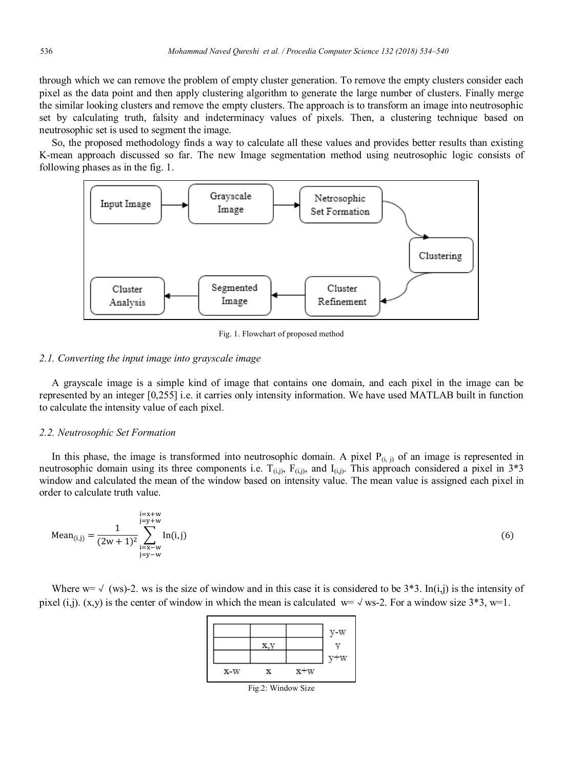through which we can remove the problem of empty cluster generation. To remove the empty clusters consider each pixel as the data point and then apply clustering algorithm to generate the large number of clusters. Finally merge the similar looking clusters and remove the empty clusters. The approach is to transform an image into neutrosophic set by calculating truth, falsity and indeterminacy values of pixels. Then, a clustering technique based on neutrosophic set is used to segment the image.

So, the proposed methodology finds a way to calculate all these values and provides better results than existing K-mean approach discussed so far. The new Image segmentation method using neutrosophic logic consists of following phases as in the fig. 1.



Fig. 1. Flowchart of proposed method

#### *2.1. Converting the input image into grayscale image*

A grayscale image is a simple kind of image that contains one domain, and each pixel in the image can be represented by an integer [0,255] i.e. it carries only intensity information. We have used MATLAB built in function to calculate the intensity value of each pixel.

#### *2.2. Neutrosophic Set Formation*

In this phase, the image is transformed into neutrosophic domain. A pixel  $P_{(i,j)}$  of an image is represented in neutrosophic domain using its three components i.e.  $T_{(i,j)}$ ,  $F_{(i,j)}$ , and  $I_{(i,j)}$ . This approach considered a pixel in 3\*3 window and calculated the mean of the window based on intensity value. The mean value is assigned each pixel in order to calculate truth value.

Mean<sub>(i,j)</sub> = 
$$
\frac{1}{(2w+1)^2} \sum_{\substack{i=x-w \ i=y-w}}^{i=x+w} \ln(i,j)
$$
 (6)

Where  $w = \sqrt{(ws)}$ -2. ws is the size of window and in this case it is considered to be 3\*3. In(i,j) is the intensity of pixel (i,j). (x,y) is the center of window in which the mean is calculated w=  $\sqrt{x}$  ws-2. For a window size 3\*3, w=1.



Fig.2: Window Size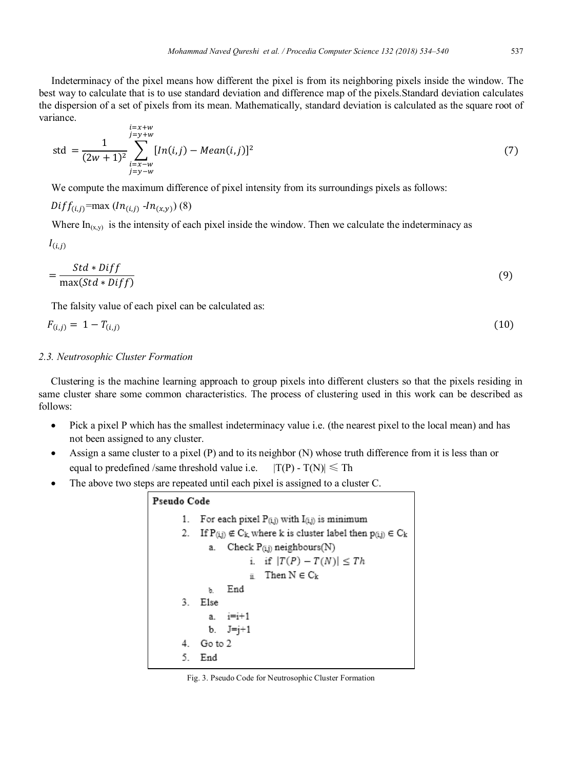Indeterminacy of the pixel means how different the pixel is from its neighboring pixels inside the window. The best way to calculate that is to use standard deviation and difference map of the pixels.Standard deviation calculates the dispersion of a set of pixels from its mean. Mathematically, standard deviation is calculated as the square root of variance.  $i = \infty + \infty$ 

std = 
$$
\frac{1}{(2w+1)^2} \sum_{\substack{i=x-w \ j=y-w}}^{x+rw} [In(i,j) - Mean(i,j)]^2
$$
 (7)

We compute the maximum difference of pixel intensity from its surroundings pixels as follows:

$$
Diff_{(i,j)} = \max (In_{(i,j)} - In_{(x,y)}) (8)
$$

Where  $In_{(x,y)}$  is the intensity of each pixel inside the window. Then we calculate the indeterminacy as

$$
I_{(i,j)}
$$

$$
=\frac{Std * Diff}{\max(Std * Diff)}
$$
(9)

The falsity value of each pixel can be calculated as:

$$
F_{(i,j)} = 1 - T_{(i,j)} \tag{10}
$$

## *2.3. Neutrosophic Cluster Formation*

Clustering is the machine learning approach to group pixels into different clusters so that the pixels residing in same cluster share some common characteristics. The process of clustering used in this work can be described as follows:

- Pick a pixel P which has the smallest indeterminacy value i.e. (the nearest pixel to the local mean) and has not been assigned to any cluster.
- Assign a same cluster to a pixel (P) and to its neighbor (N) whose truth difference from it is less than or equal to predefined /same threshold value i.e.  $|T(P) - T(N)| \leq T$ h
- The above two steps are repeated until each pixel is assigned to a cluster C.

| Pseudo Code |                                                                            |  |
|-------------|----------------------------------------------------------------------------|--|
|             | 1. For each pixel $P(i,j)$ with $I(i,j)$ is minimum                        |  |
|             | 2. If $P(i,j) \notin C_k$ , where k is cluster label then $p(i,j) \in C_k$ |  |
|             | Check $P(i,j)$ neighbours(N)<br>а.                                         |  |
|             | i. if $ T(P) - T(N)  \leq Th$                                              |  |
|             | $ii$ Then $N \in C_k$                                                      |  |
|             | End<br>h.                                                                  |  |
|             | 3. Else                                                                    |  |
|             | a $i=i+1$                                                                  |  |
|             | b. J=i+1                                                                   |  |
|             | 4. Go to 2                                                                 |  |
| 5.          | End                                                                        |  |
|             |                                                                            |  |

Fig. 3. Pseudo Code for Neutrosophic Cluster Formation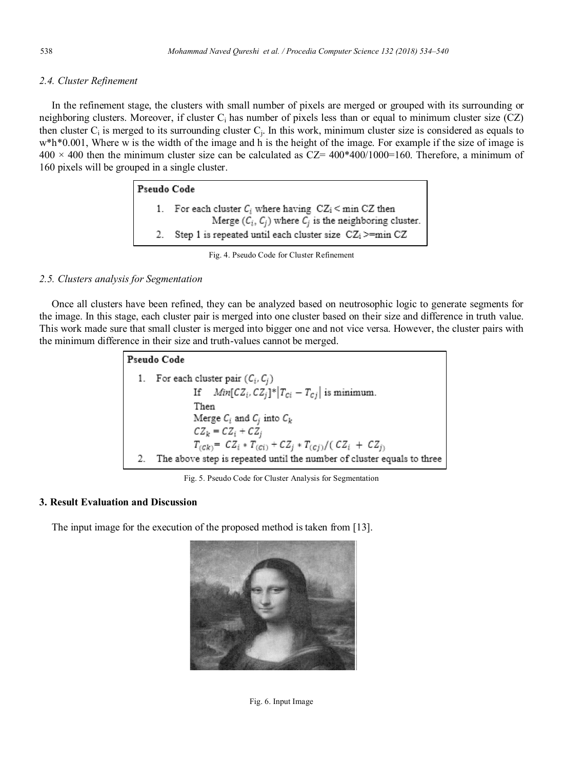# *2.4. Cluster Refinement*

In the refinement stage, the clusters with small number of pixels are merged or grouped with its surrounding or neighboring clusters. Moreover, if cluster Ci has number of pixels less than or equal to minimum cluster size (CZ) then cluster  $C_i$  is merged to its surrounding cluster  $C_i$ . In this work, minimum cluster size is considered as equals to  $w^*h^*0.001$ , Where w is the width of the image and h is the height of the image. For example if the size of image is  $400 \times 400$  then the minimum cluster size can be calculated as CZ=  $400*400/1000=160$ . Therefore, a minimum of 160 pixels will be grouped in a single cluster.

| Pseudo Code |                                                                     |
|-------------|---------------------------------------------------------------------|
| $1_{-}$     | For each cluster $C_i$ where having $CZ_i \leq min CZ$ then         |
|             | Merge $(C_i, C_j)$ where $C_j$ is the neighboring cluster.          |
|             | Step 1 is repeated until each cluster size CZ <sub>i</sub> >=min CZ |

Fig. 4. Pseudo Code for Cluster Refinement

# *2.5. Clusters analysis for Segmentation*

Once all clusters have been refined, they can be analyzed based on neutrosophic logic to generate segments for the image. In this stage, each cluster pair is merged into one cluster based on their size and difference in truth value. This work made sure that small cluster is merged into bigger one and not vice versa. However, the cluster pairs with the minimum difference in their size and truth-values cannot be merged.

| Pseudo Code |                                                                        |  |
|-------------|------------------------------------------------------------------------|--|
|             | 1. For each cluster pair $(C_i, C_j)$                                  |  |
|             | If $Min[CZ_i, CZ_j]^* T_{ci} - T_{cj} $ is minimum.                    |  |
|             | Then                                                                   |  |
|             | Merge $C_i$ and $C_j$ into $C_k$                                       |  |
|             | $CZ_k = CZ_i + CZ_i$                                                   |  |
|             | $T_{(ck)} = CZ_i * T_{(ci)} + CZ_j * T_{(cj)}/(CZ_i + CZ_j)$           |  |
|             | The above step is repeated until the number of cluster equals to three |  |

Fig. 5. Pseudo Code for Cluster Analysis for Segmentation

#### **3. Result Evaluation and Discussion**

The input image for the execution of the proposed method is taken from [13].



Fig. 6. Input Image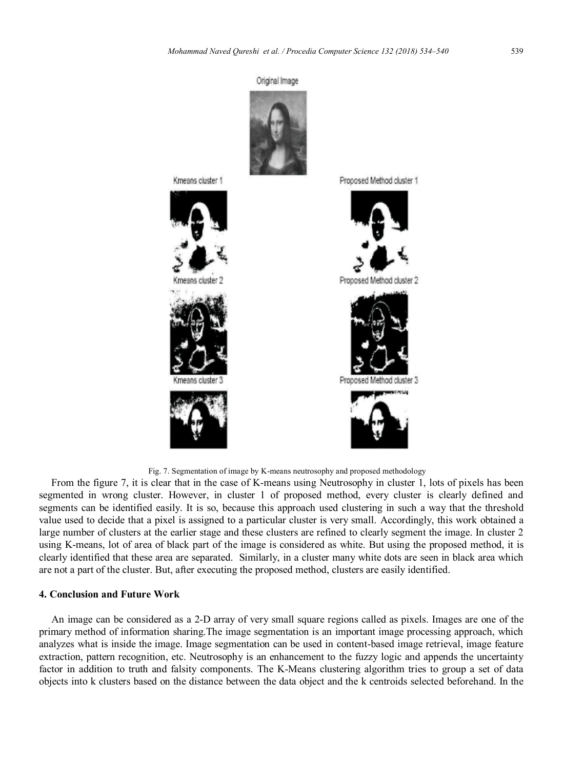

Fig. 7. Segmentation of image by K-means neutrosophy and proposed methodology

From the figure 7, it is clear that in the case of K-means using Neutrosophy in cluster 1, lots of pixels has been segmented in wrong cluster. However, in cluster 1 of proposed method, every cluster is clearly defined and segments can be identified easily. It is so, because this approach used clustering in such a way that the threshold value used to decide that a pixel is assigned to a particular cluster is very small. Accordingly, this work obtained a large number of clusters at the earlier stage and these clusters are refined to clearly segment the image. In cluster 2 using K-means, lot of area of black part of the image is considered as white. But using the proposed method, it is clearly identified that these area are separated. Similarly, in a cluster many white dots are seen in black area which are not a part of the cluster. But, after executing the proposed method, clusters are easily identified.

## **4. Conclusion and Future Work**

An image can be considered as a 2-D array of very small square regions called as pixels. Images are one of the primary method of information sharing.The image segmentation is an important image processing approach, which analyzes what is inside the image. Image segmentation can be used in content-based image retrieval, image feature extraction, pattern recognition, etc. Neutrosophy is an enhancement to the fuzzy logic and appends the uncertainty factor in addition to truth and falsity components. The K-Means clustering algorithm tries to group a set of data objects into k clusters based on the distance between the data object and the k centroids selected beforehand. In the